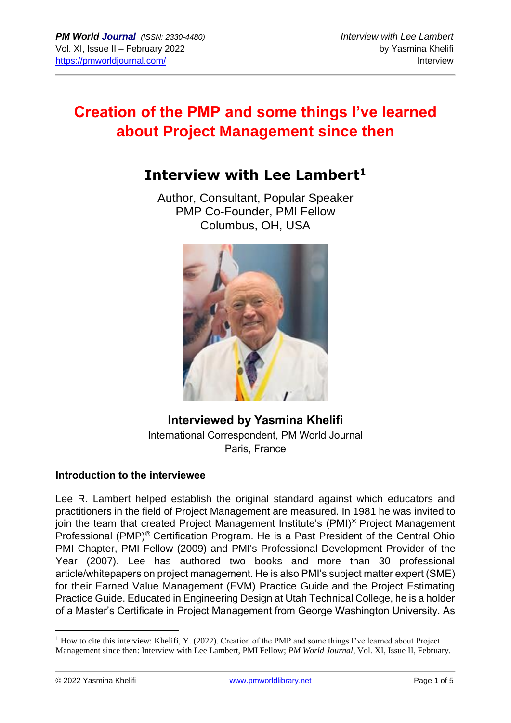# **Creation of the PMP and some things I've learned about Project Management since then**

## **Interview with Lee Lambert<sup>1</sup>**

Author, Consultant, Popular Speaker PMP Co-Founder, PMI Fellow Columbus, OH, USA



### **Interviewed by Yasmina Khelifi** International Correspondent, PM World Journal Paris, France

#### **Introduction to the interviewee**

Lee R. Lambert helped establish the original standard against which educators and practitioners in the field of Project Management are measured. In 1981 he was invited to join the team that created Project Management Institute's (PMI)® Project Management Professional (PMP)® Certification Program. He is a Past President of the Central Ohio PMI Chapter, PMI Fellow (2009) and PMI's Professional Development Provider of the Year (2007). Lee has authored two books and more than 30 professional article/whitepapers on project management. He is also PMI's subject matter expert (SME) for their Earned Value Management (EVM) Practice Guide and the Project Estimating Practice Guide. Educated in Engineering Design at Utah Technical College, he is a holder of a Master's Certificate in Project Management from George Washington University. As

<sup>&</sup>lt;sup>1</sup> How to cite this interview: Khelifi, Y. (2022). Creation of the PMP and some things I've learned about Project Management since then: Interview with Lee Lambert, PMI Fellow; *PM World Journal*, Vol. XI, Issue II, February.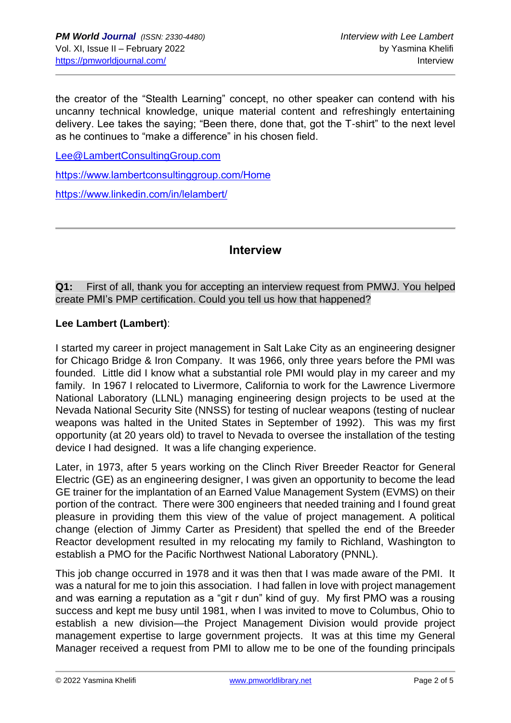the creator of the "Stealth Learning" concept, no other speaker can contend with his uncanny technical knowledge, unique material content and refreshingly entertaining delivery. Lee takes the saying; "Been there, done that, got the T-shirt" to the next level as he continues to "make a difference" in his chosen field.

[Lee@LambertConsultingGroup.com](mailto:Lee@LambertConsultingGroup.com)

<https://www.lambertconsultinggroup.com/Home>

<https://www.linkedin.com/in/lelambert/>

#### **Interview**

**Q1:** First of all, thank you for accepting an interview request from PMWJ. You helped create PMI's PMP certification. Could you tell us how that happened?

#### **Lee Lambert (Lambert)**:

I started my career in project management in Salt Lake City as an engineering designer for Chicago Bridge & Iron Company. It was 1966, only three years before the PMI was founded. Little did I know what a substantial role PMI would play in my career and my family. In 1967 I relocated to Livermore, California to work for the Lawrence Livermore National Laboratory (LLNL) managing engineering design projects to be used at the Nevada National Security Site (NNSS) for testing of nuclear weapons (testing of nuclear weapons was halted in the United States in September of 1992). This was my first opportunity (at 20 years old) to travel to Nevada to oversee the installation of the testing device I had designed. It was a life changing experience.

Later, in 1973, after 5 years working on the Clinch River Breeder Reactor for General Electric (GE) as an engineering designer, I was given an opportunity to become the lead GE trainer for the implantation of an Earned Value Management System (EVMS) on their portion of the contract. There were 300 engineers that needed training and I found great pleasure in providing them this view of the value of project management. A political change (election of Jimmy Carter as President) that spelled the end of the Breeder Reactor development resulted in my relocating my family to Richland, Washington to establish a PMO for the Pacific Northwest National Laboratory (PNNL).

This job change occurred in 1978 and it was then that I was made aware of the PMI. It was a natural for me to join this association. I had fallen in love with project management and was earning a reputation as a "git r dun" kind of guy. My first PMO was a rousing success and kept me busy until 1981, when I was invited to move to Columbus, Ohio to establish a new division—the Project Management Division would provide project management expertise to large government projects. It was at this time my General Manager received a request from PMI to allow me to be one of the founding principals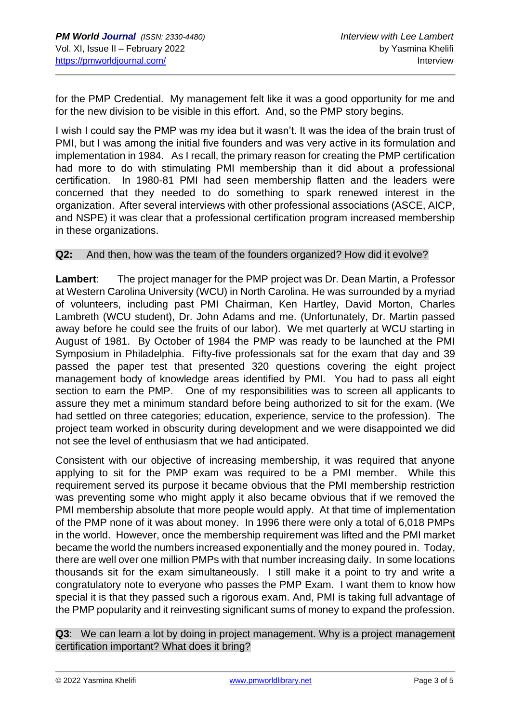for the PMP Credential. My management felt like it was a good opportunity for me and for the new division to be visible in this effort. And, so the PMP story begins.

I wish I could say the PMP was my idea but it wasn't. It was the idea of the brain trust of PMI, but I was among the initial five founders and was very active in its formulation and implementation in 1984. As I recall, the primary reason for creating the PMP certification had more to do with stimulating PMI membership than it did about a professional certification. In 1980-81 PMI had seen membership flatten and the leaders were concerned that they needed to do something to spark renewed interest in the organization. After several interviews with other professional associations (ASCE, AICP, and NSPE) it was clear that a professional certification program increased membership in these organizations.

#### **Q2:** And then, how was the team of the founders organized? How did it evolve?

**Lambert**: The project manager for the PMP project was Dr. Dean Martin, a Professor at Western Carolina University (WCU) in North Carolina. He was surrounded by a myriad of volunteers, including past PMI Chairman, Ken Hartley, David Morton, Charles Lambreth (WCU student), Dr. John Adams and me. (Unfortunately, Dr. Martin passed away before he could see the fruits of our labor). We met quarterly at WCU starting in August of 1981. By October of 1984 the PMP was ready to be launched at the PMI Symposium in Philadelphia. Fifty-five professionals sat for the exam that day and 39 passed the paper test that presented 320 questions covering the eight project management body of knowledge areas identified by PMI. You had to pass all eight section to earn the PMP. One of my responsibilities was to screen all applicants to assure they met a minimum standard before being authorized to sit for the exam. (We had settled on three categories; education, experience, service to the profession). The project team worked in obscurity during development and we were disappointed we did not see the level of enthusiasm that we had anticipated.

Consistent with our objective of increasing membership, it was required that anyone applying to sit for the PMP exam was required to be a PMI member. While this requirement served its purpose it became obvious that the PMI membership restriction was preventing some who might apply it also became obvious that if we removed the PMI membership absolute that more people would apply. At that time of implementation of the PMP none of it was about money. In 1996 there were only a total of 6,018 PMPs in the world. However, once the membership requirement was lifted and the PMI market became the world the numbers increased exponentially and the money poured in. Today, there are well over one million PMPs with that number increasing daily. In some locations thousands sit for the exam simultaneously. I still make it a point to try and write a congratulatory note to everyone who passes the PMP Exam. I want them to know how special it is that they passed such a rigorous exam. And, PMI is taking full advantage of the PMP popularity and it reinvesting significant sums of money to expand the profession.

**Q3**: We can learn a lot by doing in project management. Why is a project management certification important? What does it bring?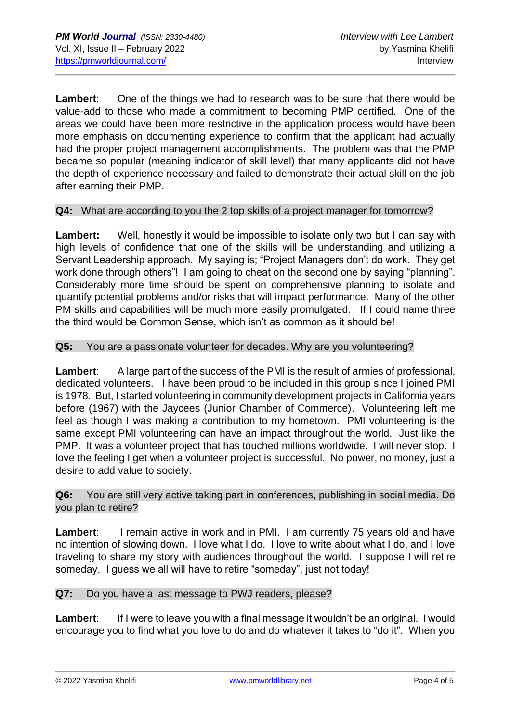**Lambert**: One of the things we had to research was to be sure that there would be value-add to those who made a commitment to becoming PMP certified. One of the areas we could have been more restrictive in the application process would have been more emphasis on documenting experience to confirm that the applicant had actually had the proper project management accomplishments. The problem was that the PMP became so popular (meaning indicator of skill level) that many applicants did not have the depth of experience necessary and failed to demonstrate their actual skill on the job after earning their PMP.

#### **Q4:** What are according to you the 2 top skills of a project manager for tomorrow?

**Lambert:** Well, honestly it would be impossible to isolate only two but I can say with high levels of confidence that one of the skills will be understanding and utilizing a Servant Leadership approach. My saying is; "Project Managers don't do work. They get work done through others"! I am going to cheat on the second one by saying "planning". Considerably more time should be spent on comprehensive planning to isolate and quantify potential problems and/or risks that will impact performance. Many of the other PM skills and capabilities will be much more easily promulgated. If I could name three the third would be Common Sense, which isn't as common as it should be!

#### **Q5:** You are a passionate volunteer for decades. Why are you volunteering?

Lambert: A large part of the success of the PMI is the result of armies of professional, dedicated volunteers. I have been proud to be included in this group since I joined PMI is 1978. But, I started volunteering in community development projects in California years before (1967) with the Jaycees (Junior Chamber of Commerce). Volunteering left me feel as though I was making a contribution to my hometown. PMI volunteering is the same except PMI volunteering can have an impact throughout the world. Just like the PMP. It was a volunteer project that has touched millions worldwide. I will never stop. I love the feeling I get when a volunteer project is successful. No power, no money, just a desire to add value to society.

#### **Q6:** You are still very active taking part in conferences, publishing in social media. Do you plan to retire?

**Lambert:** I remain active in work and in PMI. I am currently 75 years old and have no intention of slowing down. I love what I do. I love to write about what I do, and I love traveling to share my story with audiences throughout the world. I suppose I will retire someday. I guess we all will have to retire "someday", just not today!

#### **Q7:** Do you have a last message to PWJ readers, please?

**Lambert:** If I were to leave you with a final message it wouldn't be an original. I would encourage you to find what you love to do and do whatever it takes to "do it". When you